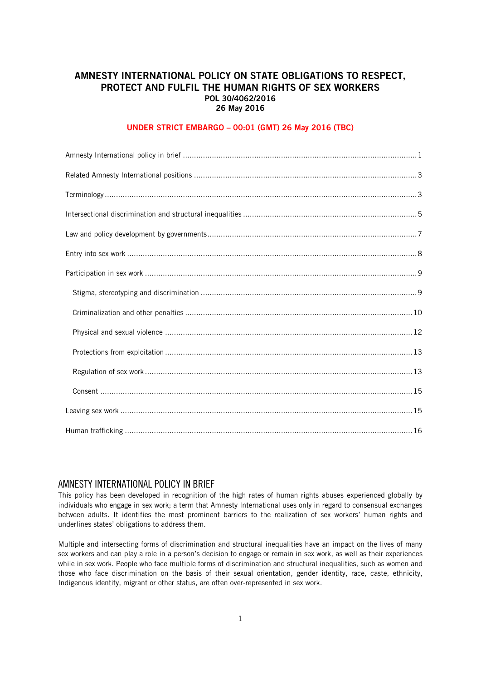# AMNESTY INTERNATIONAL POLICY ON STATE OBLIGATIONS TO RESPECT, PROTECT AND FULFIL THE HUMAN RIGHTS OF SEX WORKERS POL 30/4062/2016 26 May 2016

### UNDER STRICT EMBARGO – 00:01 (GMT) 26 May 2016 (TBC)

# <span id="page-0-0"></span>AMNESTY INTERNATIONAL POLICY IN BRIEF

This policy has been developed in recognition of the high rates of human rights abuses experienced globally by individuals who engage in sex work; a term that Amnesty International uses only in regard to consensual exchanges between adults. It identifies the most prominent barriers to the realization of sex workers' human rights and underlines states' obligations to address them.

Multiple and intersecting forms of discrimination and structural inequalities have an impact on the lives of many sex workers and can play a role in a person's decision to engage or remain in sex work, as well as their experiences while in sex work. People who face multiple forms of discrimination and structural inequalities, such as women and those who face discrimination on the basis of their sexual orientation, gender identity, race, caste, ethnicity, Indigenous identity, migrant or other status, are often over-represented in sex work.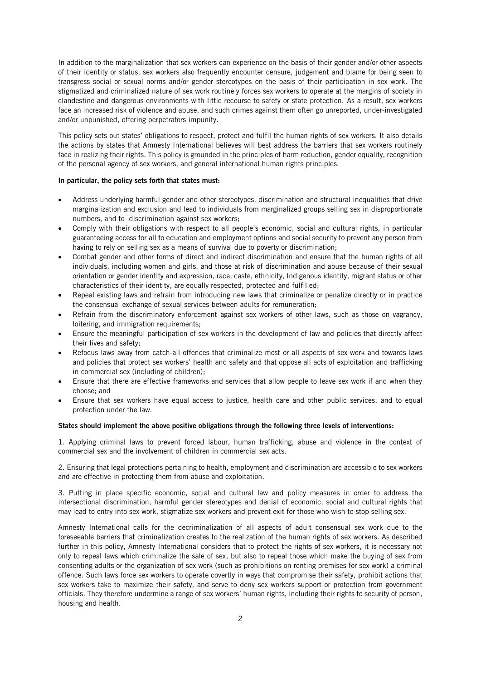In addition to the marginalization that sex workers can experience on the basis of their gender and/or other aspects of their identity or status, sex workers also frequently encounter censure, judgement and blame for being seen to transgress social or sexual norms and/or gender stereotypes on the basis of their participation in sex work. The stigmatized and criminalized nature of sex work routinely forces sex workers to operate at the margins of society in clandestine and dangerous environments with little recourse to safety or state protection. As a result, sex workers face an increased risk of violence and abuse, and such crimes against them often go unreported, under-investigated and/or unpunished, offering perpetrators impunity.

This policy sets out states' obligations to respect, protect and fulfil the human rights of sex workers. It also details the actions by states that Amnesty International believes will best address the barriers that sex workers routinely face in realizing their rights. This policy is grounded in the principles of harm reduction, gender equality, recognition of the personal agency of sex workers, and general international human rights principles.

#### In particular, the policy sets forth that states must:

- Address underlying harmful gender and other stereotypes, discrimination and structural inequalities that drive marginalization and exclusion and lead to individuals from marginalized groups selling sex in disproportionate numbers, and to discrimination against sex workers;
- Comply with their obligations with respect to all people's economic, social and cultural rights, in particular guaranteeing access for all to education and employment options and social security to prevent any person from having to rely on selling sex as a means of survival due to poverty or discrimination;
- Combat gender and other forms of direct and indirect discrimination and ensure that the human rights of all individuals, including women and girls, and those at risk of discrimination and abuse because of their sexual orientation or gender identity and expression, race, caste, ethnicity, Indigenous identity, migrant status or other characteristics of their identity, are equally respected, protected and fulfilled;
- Repeal existing laws and refrain from introducing new laws that criminalize or penalize directly or in practice the consensual exchange of sexual services between adults for remuneration;
- Refrain from the discriminatory enforcement against sex workers of other laws, such as those on vagrancy, loitering, and immigration requirements;
- Ensure the meaningful participation of sex workers in the development of law and policies that directly affect their lives and safety;
- Refocus laws away from catch-all offences that criminalize most or all aspects of sex work and towards laws and policies that protect sex workers' health and safety and that oppose all acts of exploitation and trafficking in commercial sex (including of children);
- Ensure that there are effective frameworks and services that allow people to leave sex work if and when they choose; and
- Ensure that sex workers have equal access to justice, health care and other public services, and to equal protection under the law.

#### States should implement the above positive obligations through the following three levels of interventions:

1. Applying criminal laws to prevent forced labour, human trafficking, abuse and violence in the context of commercial sex and the involvement of children in commercial sex acts.

2. Ensuring that legal protections pertaining to health, employment and discrimination are accessible to sex workers and are effective in protecting them from abuse and exploitation.

3. Putting in place specific economic, social and cultural law and policy measures in order to address the intersectional discrimination, harmful gender stereotypes and denial of economic, social and cultural rights that may lead to entry into sex work, stigmatize sex workers and prevent exit for those who wish to stop selling sex.

Amnesty International calls for the decriminalization of all aspects of adult consensual sex work due to the foreseeable barriers that criminalization creates to the realization of the human rights of sex workers. As described further in this policy, Amnesty International considers that to protect the rights of sex workers, it is necessary not only to repeal laws which criminalize the sale of sex, but also to repeal those which make the buying of sex from consenting adults or the organization of sex work (such as prohibitions on renting premises for sex work) a criminal offence. Such laws force sex workers to operate covertly in ways that compromise their safety, prohibit actions that sex workers take to maximize their safety, and serve to deny sex workers support or protection from government officials. They therefore undermine a range of sex workers' human rights, including their rights to security of person, housing and health.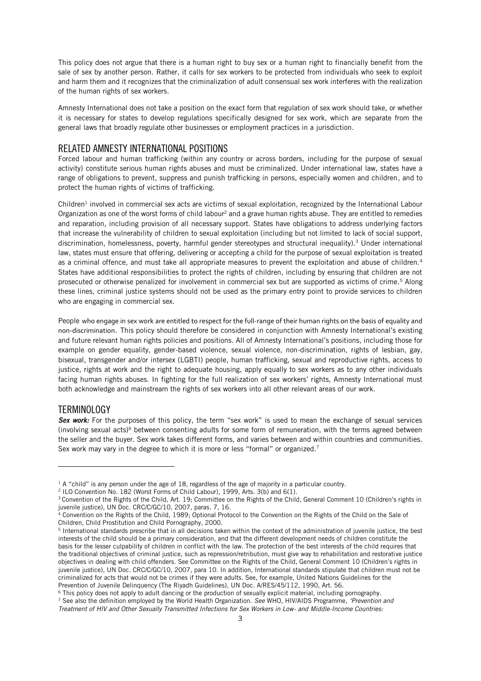This policy does not argue that there is a human right to buy sex or a human right to financially benefit from the sale of sex by another person. Rather, it calls for sex workers to be protected from individuals who seek to exploit and harm them and it recognizes that the criminalization of adult consensual sex work interferes with the realization of the human rights of sex workers.

Amnesty International does not take a position on the exact form that regulation of sex work should take, or whether it is necessary for states to develop regulations specifically designed for sex work, which are separate from the general laws that broadly regulate other businesses or employment practices in a jurisdiction.

# <span id="page-2-0"></span>RELATED AMNESTY INTERNATIONAL POSITIONS

Forced labour and human trafficking (within any country or across borders, including for the purpose of sexual activity) constitute serious human rights abuses and must be criminalized. Under international law, states have a range of obligations to prevent, suppress and punish trafficking in persons, especially women and children, and to protect the human rights of victims of trafficking.

Children<sup>1</sup> involved in commercial sex acts are victims of sexual exploitation, recognized by the International Labour Organization as one of the worst forms of child labour<sup>2</sup> and a grave human rights abuse. They are entitled to remedies and reparation, including provision of all necessary support. States have obligations to address underlying factors that increase the vulnerability of children to sexual exploitation (including but not limited to lack of social support, discrimination, homelessness, poverty, harmful gender stereotypes and structural inequality).<sup>3</sup> Under international law, states must ensure that offering, delivering or accepting a child for the purpose of sexual exploitation is treated as a criminal offence, and must take all appropriate measures to prevent the exploitation and abuse of children.<sup>4</sup> States have additional responsibilities to protect the rights of children, including by ensuring that children are not prosecuted or otherwise penalized for involvement in commercial sex but are supported as victims of crime.<sup>5</sup> Along these lines, criminal justice systems should not be used as the primary entry point to provide services to children who are engaging in commercial sex.

People who engage in sex work are entitled to respect for the full-range of their human rights on the basis of equality and non-discrimination. This policy should therefore be considered in conjunction with Amnesty International's existing and future relevant human rights policies and positions. All of Amnesty International's positions, including those for example on gender equality, gender-based violence, sexual violence, non-discrimination, rights of lesbian, gay, bisexual, transgender and/or intersex (LGBTI) people, human trafficking, sexual and reproductive rights, access to justice, rights at work and the right to adequate housing, apply equally to sex workers as to any other individuals facing human rights abuses. In fighting for the full realization of sex workers' rights, Amnesty International must both acknowledge and mainstream the rights of sex workers into all other relevant areas of our work.

## <span id="page-2-1"></span>TERMINOLOGY

l

Sex work: For the purposes of this policy, the term "sex work" is used to mean the exchange of sexual services  $(involving sexual acts)$ <sup>6</sup> between consenting adults for some form of remuneration, with the terms agreed between the seller and the buyer. Sex work takes different forms, and varies between and within countries and communities. Sex work may vary in the degree to which it is more or less "formal" or organized.<sup>7</sup>

2 ILO Convention No. 182 (Worst Forms of Child Labour), 1999, Arts. 3(b) and 6(1).

 $1$  A "child" is any person under the age of 18, regardless of the age of majority in a particular country.

<sup>3</sup> Convention of the Rights of the Child, Art. 19; Committee on the Rights of the Child, General Comment 10 (Children's rights in juvenile justice), UN Doc. CRC/C/GC/10, 2007, paras. 7, 16.

<sup>4</sup> Convention on the Rights of the Child, 1989; Optional Protocol to the Convention on the Rights of the Child on the Sale of Children, Child Prostitution and Child Pornography, 2000.

<sup>5</sup> International standards prescribe that in all decisions taken within the context of the administration of juvenile justice, the best interests of the child should be a primary consideration, and that the different development needs of children constitute the basis for the lesser culpability of children in conflict with the law. The protection of the best interests of the child requires that the traditional objectives of criminal justice, such as repression/retribution, must give way to rehabilitation and restorative justice objectives in dealing with child offenders. See Committee on the Rights of the Child, General Comment 10 (Children's rights in juvenile justice), UN Doc. CRC/C/GC/10, 2007, para 10. In addition, International standards stipulate that children must not be criminalized for acts that would not be crimes if they were adults. See, for example, United Nations Guidelines for the Prevention of Juvenile Delinquency (The Riyadh Guidelines), UN Doc. A/RES/45/112, 1990, Art. 56.

<sup>6</sup> This policy does not apply to adult dancing or the production of sexually explicit material, including pornography. <sup>7</sup> See also the definition employed by the World Health Organization. *See* WHO, HIV/AIDS Programme, *'Prevention and Treatment of HIV and Other Sexually Transmitted Infections for Sex Workers in Low- and Middle-Income Countries:*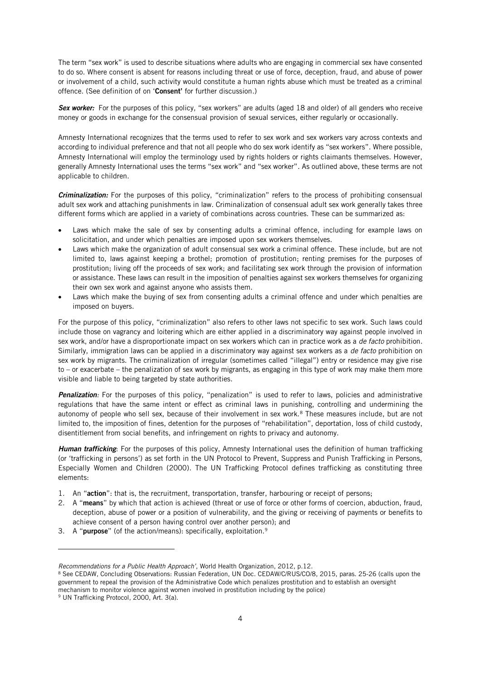The term "sex work" is used to describe situations where adults who are engaging in commercial sex have consented to do so. Where consent is absent for reasons including threat or use of force, deception, fraud, and abuse of power or involvement of a child, such activity would constitute a human rights abuse which must be treated as a criminal offence. (See definition of on 'Consent' for further discussion.)

Sex worker: For the purposes of this policy, "sex workers" are adults (aged 18 and older) of all genders who receive money or goods in exchange for the consensual provision of sexual services, either regularly or occasionally.

Amnesty International recognizes that the terms used to refer to sex work and sex workers vary across contexts and according to individual preference and that not all people who do sex work identify as "sex workers". Where possible, Amnesty International will employ the terminology used by rights holders or rights claimants themselves. However, generally Amnesty International uses the terms "sex work" and "sex worker". As outlined above, these terms are not applicable to children.

*Criminalization:* For the purposes of this policy, "criminalization" refers to the process of prohibiting consensual adult sex work and attaching punishments in law. Criminalization of consensual adult sex work generally takes three different forms which are applied in a variety of combinations across countries. These can be summarized as:

- Laws which make the sale of sex by consenting adults a criminal offence, including for example laws on solicitation, and under which penalties are imposed upon sex workers themselves.
- Laws which make the organization of adult consensual sex work a criminal offence. These include, but are not limited to, laws against keeping a brothel; promotion of prostitution; renting premises for the purposes of prostitution; living off the proceeds of sex work; and facilitating sex work through the provision of information or assistance. These laws can result in the imposition of penalties against sex workers themselves for organizing their own sex work and against anyone who assists them.
- Laws which make the buying of sex from consenting adults a criminal offence and under which penalties are imposed on buyers.

For the purpose of this policy, "criminalization" also refers to other laws not specific to sex work. Such laws could include those on vagrancy and loitering which are either applied in a discriminatory way against people involved in sex work, and/or have a disproportionate impact on sex workers which can in practice work as a *de facto* prohibition. Similarly, immigration laws can be applied in a discriminatory way against sex workers as a *de facto* prohibition on sex work by migrants. The criminalization of irregular (sometimes called "illegal") entry or residence may give rise to – or exacerbate – the penalization of sex work by migrants, as engaging in this type of work may make them more visible and liable to being targeted by state authorities.

**Penalization**: For the purposes of this policy, "penalization" is used to refer to laws, policies and administrative regulations that have the same intent or effect as criminal laws in punishing, controlling and undermining the autonomy of people who sell sex, because of their involvement in sex work.<sup>8</sup> These measures include, but are not limited to, the imposition of fines, detention for the purposes of "rehabilitation", deportation, loss of child custody, disentitlement from social benefits, and infringement on rights to privacy and autonomy.

*Human trafficking*: For the purposes of this policy, Amnesty International uses the definition of human trafficking (or 'trafficking in persons') as set forth in the UN Protocol to Prevent, Suppress and Punish Trafficking in Persons, Especially Women and Children (2000). The UN Trafficking Protocol defines trafficking as constituting three elements:

- 1. An "action": that is, the recruitment, transportation, transfer, harbouring or receipt of persons;
- 2. A "means" by which that action is achieved (threat or use of force or other forms of coercion, abduction, fraud, deception, abuse of power or a position of vulnerability, and the giving or receiving of payments or benefits to achieve consent of a person having control over another person); and
- 3. A "**purpose**" (of the action/means): specifically, exploitation.<sup>9</sup>

l

*Recommendations for a Public Health Approach'*, World Health Organization, 2012, p.12.

<sup>8</sup> See CEDAW, Concluding Observations: Russian Federation, UN Doc. CEDAW/C/RUS/CO/8, 2015, paras. 25-26 (calls upon the government to repeal the provision of the Administrative Code which penalizes prostitution and to establish an oversight mechanism to monitor violence against women involved in prostitution including by the police)

<sup>9</sup> UN Trafficking Protocol, 2000, Art. 3(a).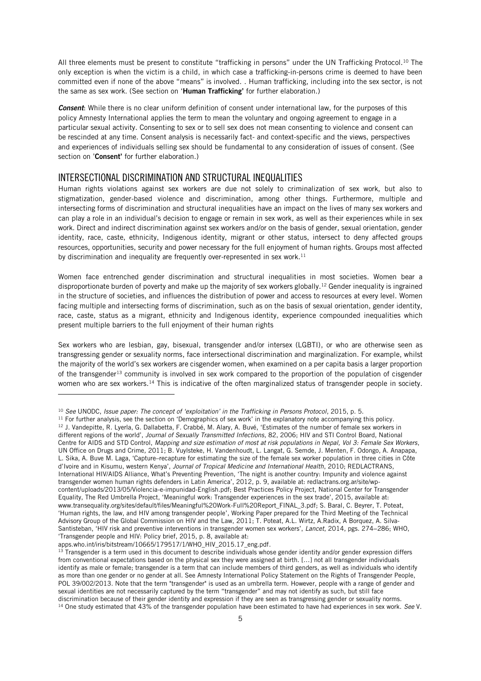All three elements must be present to constitute "trafficking in persons" under the UN Trafficking Protocol.<sup>10</sup> The only exception is when the victim is a child, in which case a trafficking-in-persons crime is deemed to have been committed even if none of the above "means" is involved. . Human trafficking, including into the sex sector, is not the same as sex work. (See section on 'Human Trafficking' for further elaboration.)

*Consent*: While there is no clear uniform definition of consent under international law, for the purposes of this policy Amnesty International applies the term to mean the voluntary and ongoing agreement to engage in a particular sexual activity. Consenting to sex or to sell sex does not mean consenting to violence and consent can be rescinded at any time. Consent analysis is necessarily fact- and context-specific and the views, perspectives and experiences of individuals selling sex should be fundamental to any consideration of issues of consent. (See section on 'Consent' for further elaboration.)

# <span id="page-4-0"></span>INTERSECTIONAL DISCRIMINATION AND STRUCTURAL INEQUALITIES

Human rights violations against sex workers are due not solely to criminalization of sex work, but also to stigmatization, gender-based violence and discrimination, among other things. Furthermore, multiple and intersecting forms of discrimination and structural inequalities have an impact on the lives of many sex workers and can play a role in an individual's decision to engage or remain in sex work, as well as their experiences while in sex work. Direct and indirect discrimination against sex workers and/or on the basis of gender, sexual orientation, gender identity, race, caste, ethnicity, Indigenous identity, migrant or other status, intersect to deny affected groups resources, opportunities, security and power necessary for the full enjoyment of human rights. Groups most affected by discrimination and inequality are frequently over-represented in sex work.<sup>11</sup>

Women face entrenched gender discrimination and structural inequalities in most societies. Women bear a disproportionate burden of poverty and make up the majority of sex workers globally.<sup>12</sup> Gender inequality is ingrained in the structure of societies, and influences the distribution of power and access to resources at every level. Women facing multiple and intersecting forms of discrimination, such as on the basis of sexual orientation, gender identity, race, caste, status as a migrant, ethnicity and Indigenous identity, experience compounded inequalities which present multiple barriers to the full enjoyment of their human rights

Sex workers who are lesbian, gay, bisexual, transgender and/or intersex (LGBTI), or who are otherwise seen as transgressing gender or sexuality norms, face intersectional discrimination and marginalization. For example, whilst the majority of the world's sex workers are cisgender women, when examined on a per capita basis a larger proportion of the transgender<sup>13</sup> community is involved in sex work compared to the proportion of the population of cisgender women who are sex workers.<sup>14</sup> This is indicative of the often marginalized status of transgender people in society.

l

<sup>10</sup> *See* UNODC, *Issue paper: The concept of 'exploitation' in the Trafficking in Persons Protocol*, 2015, p. 5.

 $11$  For further analysis, see the section on 'Demographics of sex work' in the explanatory note accompanying this policy. <sup>12</sup> J. Vandepitte, R. Lyerla, G. Dallabetta, F. Crabbé, M. Alary, A. Buvé, 'Estimates of the number of female sex workers in different regions of the world', *Journal of Sexually Transmitted Infections*, 82, 2006; HIV and STI Control Board, National Centre for AIDS and STD Control, *Mapping and size estimation of most at risk populations in Nepal, Vol 3: Female Sex Workers*, UN Office on Drugs and Crime*,* 2011; B. Vuylsteke, H. Vandenhoudt, L. Langat, G. Semde, J. Menten, F. Odongo, A. Anapapa, L. Sika, A. Buve M. Laga, 'Capture–recapture for estimating the size of the female sex worker population in three cities in Côte d'Ivoire and in Kisumu, western Kenya', *Journal of Tropical Medicine and International Health*, 2010; REDLACTRANS, International HIV/AIDS Alliance, What's Preventing Prevention, 'The night is another country: Impunity and violence against transgender women human rights defenders in Latin America', 2012, p. 9, available at: redlactrans.org.ar/site/wpcontent/uploads/2013/05/Violencia-e-impunidad-English.pdf; Best Practices Policy Project, National Center for Transgender Equality, The Red Umbrella Project, 'Meaningful work: Transgender experiences in the sex trade', 2015, available at: www.transequality.org/sites/default/files/Meaningful%20Work-Full%20Report\_FINAL\_3.pdf; S. Baral, C. Beyrer, T. Poteat, 'Human rights, the law, and HIV among transgender people', Working Paper prepared for the Third Meeting of the Technical Advisory Group of the Global Commission on HIV and the Law, 2011; T. Poteat, A.L. Wirtz, A.Radix, A Borquez, A. Silva-Santisteban, 'HIV risk and preventive interventions in transgender women sex workers', *Lancet*, 2014, pgs. 274−286; WHO, 'Transgender people and HIV: Policy brief, 2015, p. 8, available at:

apps.who.int/iris/bitstream/10665/179517/1/WHO\_HIV\_2015.17\_eng.pdf.

<sup>&</sup>lt;sup>13</sup> Transgender is a term used in this document to describe individuals whose gender identity and/or gender expression differs from conventional expectations based on the physical sex they were assigned at birth. […] not all transgender individuals identify as male or female; transgender is a term that can include members of third genders, as well as individuals who identify as more than one gender or no gender at all. See Amnesty International Policy Statement on the Rights of Transgender People, POL 39/002/2013. Note that the term "transgender" is used as an umbrella term. However, people with a range of gender and sexual identities are not necessarily captured by the term "transgender" and may not identify as such, but still face discrimination because of their gender identity and expression if they are seen as transgressing gender or sexuality norms. <sup>14</sup> One study estimated that 43% of the transgender population have been estimated to have had experiences in sex work. *See* V.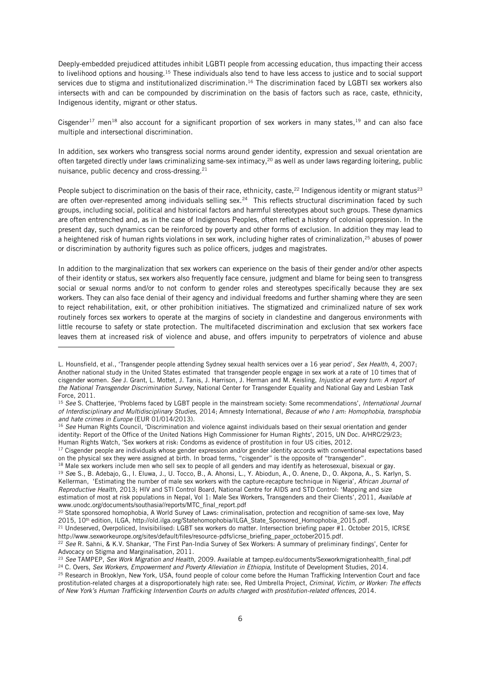Deeply-embedded prejudiced attitudes inhibit LGBTI people from accessing education, thus impacting their access to livelihood options and housing.<sup>15</sup> These individuals also tend to have less access to justice and to social support services due to stigma and institutionalized discrimination. <sup>16</sup> The discrimination faced by LGBTI sex workers also intersects with and can be compounded by discrimination on the basis of factors such as race, caste, ethnicity, Indigenous identity, migrant or other status.

Cisgender<sup>17</sup> men<sup>18</sup> also account for a significant proportion of sex workers in many states,<sup>19</sup> and can also face multiple and intersectional discrimination.

In addition, sex workers who transgress social norms around gender identity, expression and sexual orientation are often targeted directly under laws criminalizing same-sex intimacy,<sup>20</sup> as well as under laws regarding loitering, public nuisance, public decency and cross-dressing.<sup>21</sup>

People subject to discrimination on the basis of their race, ethnicity, caste,  $22$  Indigenous identity or migrant status<sup>23</sup> are often over-represented among individuals selling sex.<sup>24</sup> This reflects structural discrimination faced by such groups, including social, political and historical factors and harmful stereotypes about such groups. These dynamics are often entrenched and, as in the case of Indigenous Peoples, often reflect a history of colonial oppression. In the present day, such dynamics can be reinforced by poverty and other forms of exclusion. In addition they may lead to a heightened risk of human rights violations in sex work, including higher rates of criminalization, <sup>25</sup> abuses of power or discrimination by authority figures such as police officers, judges and magistrates.

In addition to the marginalization that sex workers can experience on the basis of their gender and/or other aspects of their identity or status, sex workers also frequently face censure, judgment and blame for being seen to transgress social or sexual norms and/or to not conform to gender roles and stereotypes specifically because they are sex workers. They can also face denial of their agency and individual freedoms and further shaming where they are seen to reject rehabilitation, exit, or other prohibition initiatives. The stigmatized and criminalized nature of sex work routinely forces sex workers to operate at the margins of society in clandestine and dangerous environments with little recourse to safety or state protection. The multifaceted discrimination and exclusion that sex workers face leaves them at increased risk of violence and abuse, and offers impunity to perpetrators of violence and abuse

L. Hounsfield, et al., 'Transgender people attending Sydney sexual health services over a 16 year period'*, Sex Health*, 4, 2007; Another national study in the United States estimated that transgender people engage in sex work at a rate of 10 times that of cisgender women. *See* J. Grant, L. Mottet, J. Tanis, J. Harrison, J. Herman and M. Keisling, *Injustice at every turn: A report of the National Transgender Discrimination Survey*, National Center for Transgender Equality and National Gay and Lesbian Task Force, 2011.

<sup>15</sup> *See* S. Chatterjee, 'Problems faced by LGBT people in the mainstream society: Some recommendations', *International Journal of Interdisciplinary and Multidisciplinary Studies,* 2014; Amnesty International, *Because of who I am: Homophobia, transphobia and hate crimes in Europe* (EUR 01/014/2013).

<sup>16</sup> *See* Human Rights Council, 'Discrimination and violence against individuals based on their sexual orientation and gender identity: Report of the Office of the United Nations High Commissioner for Human Rights', 2015, UN Doc. A/HRC/29/23; Human Rights Watch, 'Sex workers at risk: Condoms as evidence of prostitution in four US cities, 2012.

<sup>17</sup> Cisgender people are individuals whose gender expression and/or gender identity accords with conventional expectations based on the physical sex they were assigned at birth. In broad terms, "cisgender" is the opposite of "transgender".

<sup>&</sup>lt;sup>18</sup> Male sex workers include men who sell sex to people of all genders and may identify as heterosexual, bisexual or gay. <sup>19</sup> *Se*e S., B. Adebajo, G., I. Eluwa, J., U. Tocco, B., A. Ahonsi, L., Y. Abiodun, A., O. Anene, D., O. Akpona, A., S. Karlyn, S. Kellerman, 'Estimating the number of male sex workers with the capture-recapture technique in Nigeria'*, African Journal of Reproductive Health,* 2013; HIV and STI Control Board, National Centre for AIDS and STD Control: 'Mapping and size estimation of most at risk populations in Nepal, Vol 1: Male Sex Workers, Transgenders and their Clients', 2011, *Available at* www.unodc.org/documents/southasia//reports/MTC\_final\_report.pdf

<sup>&</sup>lt;sup>20</sup> State sponsored homophobia, A World Survey of Laws: criminalisation, protection and recognition of same-sex love, May 2015, 10th edition, ILGA, http://old.ilga.org/Statehomophobia/ILGA\_State\_Sponsored\_Homophobia\_2015.pdf.

<sup>21</sup> Undeserved, Overpoliced, Invisibilised: LGBT sex workers do matter. Intersection briefing paper #1. October 2015, ICRSE http://www.sexworkeurope.org/sites/default/files/resource-pdfs/icrse\_briefing\_paper\_october2015.pdf.

<sup>22</sup> *See* R. Sahni, & K.V. Shankar, 'The First Pan-India Survey of Sex Workers: A summary of preliminary findings', Center for Advocacy on Stigma and Marginalisation, 2011.

<sup>23</sup> *See* TAMPEP, *Sex Work Migration and Health*, 2009. Available at tampep.eu/documents/Sexworkmigrationhealth\_final.pdf <sup>24</sup> C. Overs, *Sex Workers, Empowerment and Poverty Alleviation in Ethiopia*, Institute of Development Studies, 2014.

<sup>&</sup>lt;sup>25</sup> Research in Brooklyn, New York, USA, found people of colour come before the Human Trafficking Intervention Court and face prostitution-related charges at a disproportionately high rate: see, Red Umbrella Project, *Criminal, Victim, or Worker: The effects of New York's Human Trafficking Intervention Courts on adults charged with prostitution-related offences*, 2014.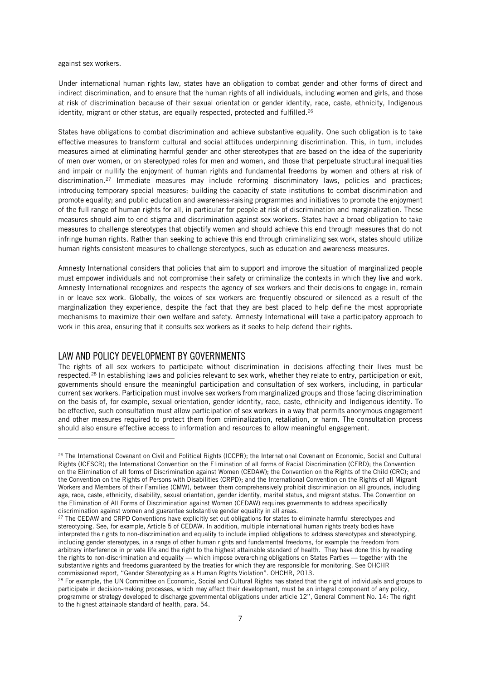against sex workers.

l

Under international human rights law, states have an obligation to combat gender and other forms of direct and indirect discrimination, and to ensure that the human rights of all individuals, including women and girls, and those at risk of discrimination because of their sexual orientation or gender identity, race, caste, ethnicity, Indigenous identity, migrant or other status, are equally respected, protected and fulfilled.<sup>26</sup>

States have obligations to combat discrimination and achieve substantive equality. One such obligation is to take effective measures to transform cultural and social attitudes underpinning discrimination. This, in turn, includes measures aimed at eliminating harmful gender and other stereotypes that are based on the idea of the superiority of men over women, or on stereotyped roles for men and women, and those that perpetuate structural inequalities and impair or nullify the enjoyment of human rights and fundamental freedoms by women and others at risk of discrimination. <sup>27</sup> Immediate measures may include reforming discriminatory laws, policies and practices; introducing temporary special measures; building the capacity of state institutions to combat discrimination and promote equality; and public education and awareness-raising programmes and initiatives to promote the enjoyment of the full range of human rights for all, in particular for people at risk of discrimination and marginalization. These measures should aim to end stigma and discrimination against sex workers. States have a broad obligation to take measures to challenge stereotypes that objectify women and should achieve this end through measures that do not infringe human rights. Rather than seeking to achieve this end through criminalizing sex work, states should utilize human rights consistent measures to challenge stereotypes, such as education and awareness measures.

Amnesty International considers that policies that aim to support and improve the situation of marginalized people must empower individuals and not compromise their safety or criminalize the contexts in which they live and work. Amnesty International recognizes and respects the agency of sex workers and their decisions to engage in, remain in or leave sex work. Globally, the voices of sex workers are frequently obscured or silenced as a result of the marginalization they experience, despite the fact that they are best placed to help define the most appropriate mechanisms to maximize their own welfare and safety. Amnesty International will take a participatory approach to work in this area, ensuring that it consults sex workers as it seeks to help defend their rights.

## <span id="page-6-0"></span>LAW AND POLICY DEVELOPMENT BY GOVERNMENTS

The rights of all sex workers to participate without discrimination in decisions affecting their lives must be respected.<sup>28</sup> In establishing laws and policies relevant to sex work, whether they relate to entry, participation or exit, governments should ensure the meaningful participation and consultation of sex workers, including, in particular current sex workers. Participation must involve sex workers from marginalized groups and those facing discrimination on the basis of, for example, sexual orientation, gender identity, race, caste, ethnicity and Indigenous identity. To be effective, such consultation must allow participation of sex workers in a way that permits anonymous engagement and other measures required to protect them from criminalization, retaliation, or harm. The consultation process should also ensure effective access to information and resources to allow meaningful engagement.

<sup>&</sup>lt;sup>26</sup> The International Covenant on Civil and Political Rights (ICCPR); the International Covenant on Economic, Social and Cultural Rights (ICESCR); the International Convention on the Elimination of all forms of Racial Discrimination (CERD); the Convention on the Elimination of all forms of Discrimination against Women (CEDAW); the Convention on the Rights of the Child (CRC); and the Convention on the Rights of Persons with Disabilities (CRPD); and the International Convention on the Rights of all Migrant Workers and Members of their Families (CMW), between them comprehensively prohibit discrimination on all grounds, including age, race, caste, ethnicity, disability, sexual orientation, gender identity, marital status, and migrant status. The Convention on the Elimination of All Forms of Discrimination against Women (CEDAW) requires governments to address specifically discrimination against women and guarantee substantive gender equality in all areas.

<sup>&</sup>lt;sup>27</sup> The CEDAW and CRPD Conventions have explicitly set out obligations for states to eliminate harmful stereotypes and stereotyping. See, for example, Article 5 of CEDAW. In addition, multiple international human rights treaty bodies have interpreted the rights to non-discrimination and equality to include implied obligations to address stereotypes and stereotyping, including gender stereotypes, in a range of other human rights and fundamental freedoms, for example the freedom from arbitrary interference in private life and the right to the highest attainable standard of health. They have done this by reading the rights to non-discrimination and equality — which impose overarching obligations on States Parties — together with the substantive rights and freedoms guaranteed by the treaties for which they are responsible for monitoring. See OHCHR commissioned report, "Gender Stereotyping as a Human Rights Violation". OHCHR, 2013.

<sup>&</sup>lt;sup>28</sup> For example, the UN Committee on Economic, Social and Cultural Rights has stated that the right of individuals and groups to participate in decision-making processes, which may affect their development, must be an integral component of any policy, programme or strategy developed to discharge governmental obligations under article 12", General Comment No. 14: The right to the highest attainable standard of health, para. 54.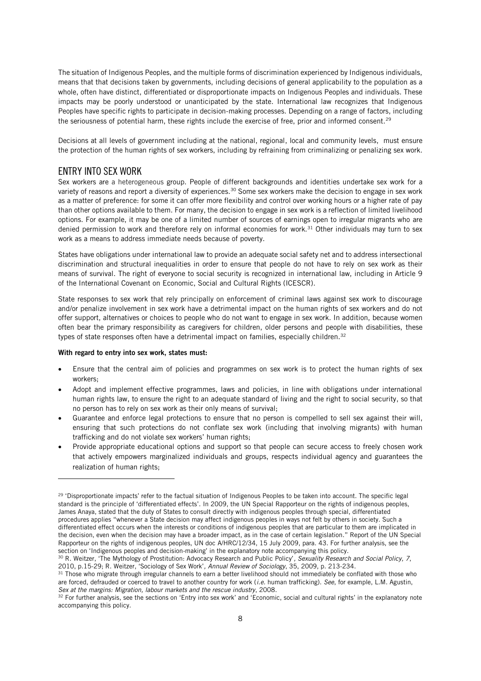The situation of Indigenous Peoples, and the multiple forms of discrimination experienced by Indigenous individuals, means that that decisions taken by governments, including decisions of general applicability to the population as a whole, often have distinct, differentiated or disproportionate impacts on Indigenous Peoples and individuals. These impacts may be poorly understood or unanticipated by the state. International law recognizes that Indigenous Peoples have specific rights to participate in decision-making processes. Depending on a range of factors, including the seriousness of potential harm, these rights include the exercise of free, prior and informed consent.<sup>29</sup>

Decisions at all levels of government including at the national, regional, local and community levels, must ensure the protection of the human rights of sex workers, including by refraining from criminalizing or penalizing sex work.

# <span id="page-7-0"></span>ENTRY INTO SEX WORK

Sex workers are a heterogeneous group. People of different backgrounds and identities undertake sex work for a variety of reasons and report a diversity of experiences.<sup>30</sup> Some sex workers make the decision to engage in sex work as a matter of preference: for some it can offer more flexibility and control over working hours or a higher rate of pay than other options available to them. For many, the decision to engage in sex work is a reflection of limited livelihood options. For example, it may be one of a limited number of sources of earnings open to irregular migrants who are denied permission to work and therefore rely on informal economies for work.<sup>31</sup> Other individuals may turn to sex work as a means to address immediate needs because of poverty.

States have obligations under international law to provide an adequate social safety net and to address intersectional discrimination and structural inequalities in order to ensure that people do not have to rely on sex work as their means of survival. The right of everyone to social security is recognized in international law, including in Article 9 of the International Covenant on Economic, Social and Cultural Rights (ICESCR).

State responses to sex work that rely principally on enforcement of criminal laws against sex work to discourage and/or penalize involvement in sex work have a detrimental impact on the human rights of sex workers and do not offer support, alternatives or choices to people who do not want to engage in sex work. In addition, because women often bear the primary responsibility as caregivers for children, older persons and people with disabilities, these types of state responses often have a detrimental impact on families, especially children.<sup>32</sup>

## With regard to entry into sex work, states must:

- Ensure that the central aim of policies and programmes on sex work is to protect the human rights of sex workers;
- Adopt and implement effective programmes, laws and policies, in line with obligations under international human rights law, to ensure the right to an adequate standard of living and the right to social security, so that no person has to rely on sex work as their only means of survival;
- Guarantee and enforce legal protections to ensure that no person is compelled to sell sex against their will, ensuring that such protections do not conflate sex work (including that involving migrants) with human trafficking and do not violate sex workers' human rights;
- Provide appropriate educational options and support so that people can secure access to freely chosen work that actively empowers marginalized individuals and groups, respects individual agency and guarantees the realization of human rights;

<sup>&</sup>lt;sup>29</sup> 'Disproportionate impacts' refer to the factual situation of Indigenous Peoples to be taken into account. The specific legal standard is the principle of 'differentiated effects'. In 2009, the UN Special Rapporteur on the rights of indigenous peoples, James Anaya, stated that the duty of States to consult directly with indigenous peoples through special, differentiated procedures applies "whenever a State decision may affect indigenous peoples in ways not felt by others in society. Such a differentiated effect occurs when the interests or conditions of indigenous peoples that are particular to them are implicated in the decision, even when the decision may have a broader impact, as in the case of certain legislation." Report of the UN Special Rapporteur on the rights of indigenous peoples, UN doc A/HRC/12/34, 15 July 2009, para. 43. For further analysis, see the section on 'Indigenous peoples and decision-making' in the explanatory note accompanying this policy.

<sup>30</sup> R. Weitzer, 'The Mythology of Prostitution: Advocacy Research and Public Policy'*, Sexuality Research and Social Policy, 7*, 2010, p.15-29; R. Weitzer, 'Sociology of Sex Work'*, Annual Review of Sociology*, 35, 2009, p. 213-234.

<sup>&</sup>lt;sup>31</sup> Those who migrate through irregular channels to earn a better livelihood should not immediately be conflated with those who are forced, defrauded or coerced to travel to another country for work (*i.e.* human trafficking). *See*, for example, L.M. Agustin, *Sex at the margins: Migration, labour markets and the rescue industry*, 2008.

<sup>&</sup>lt;sup>32</sup> For further analysis, see the sections on 'Entry into sex work' and 'Economic, social and cultural rights' in the explanatory note accompanying this policy.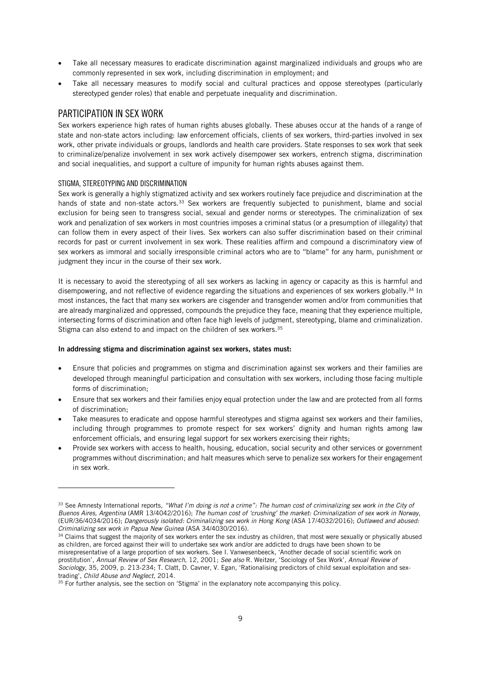- Take all necessary measures to eradicate discrimination against marginalized individuals and groups who are commonly represented in sex work, including discrimination in employment; and
- Take all necessary measures to modify social and cultural practices and oppose stereotypes (particularly stereotyped gender roles) that enable and perpetuate inequality and discrimination.

# <span id="page-8-0"></span>PARTICIPATION IN SEX WORK

Sex workers experience high rates of human rights abuses globally. These abuses occur at the hands of a range of state and non-state actors including: law enforcement officials, clients of sex workers, third-parties involved in sex work, other private individuals or groups, landlords and health care providers. State responses to sex work that seek to criminalize/penalize involvement in sex work actively disempower sex workers, entrench stigma, discrimination and social inequalities, and support a culture of impunity for human rights abuses against them.

#### <span id="page-8-1"></span>STIGMA, STEREOTYPING AND DISCRIMINATION

l

Sex work is generally a highly stigmatized activity and sex workers routinely face prejudice and discrimination at the hands of state and non-state actors.<sup>33</sup> Sex workers are frequently subjected to punishment, blame and social exclusion for being seen to transgress social, sexual and gender norms or stereotypes. The criminalization of sex work and penalization of sex workers in most countries imposes a criminal status (or a presumption of illegality) that can follow them in every aspect of their lives. Sex workers can also suffer discrimination based on their criminal records for past or current involvement in sex work. These realities affirm and compound a discriminatory view of sex workers as immoral and socially irresponsible criminal actors who are to "blame" for any harm, punishment or judgment they incur in the course of their sex work.

It is necessary to avoid the stereotyping of all sex workers as lacking in agency or capacity as this is harmful and disempowering, and not reflective of evidence regarding the situations and experiences of sex workers globally.<sup>34</sup> In most instances, the fact that many sex workers are cisgender and transgender women and/or from communities that are already marginalized and oppressed, compounds the prejudice they face, meaning that they experience multiple, intersecting forms of discrimination and often face high levels of judgment, stereotyping, blame and criminalization. Stigma can also extend to and impact on the children of sex workers.<sup>35</sup>

### In addressing stigma and discrimination against sex workers, states must:

- Ensure that policies and programmes on stigma and discrimination against sex workers and their families are developed through meaningful participation and consultation with sex workers, including those facing multiple forms of discrimination;
- Ensure that sex workers and their families enjoy equal protection under the law and are protected from all forms of discrimination;
- Take measures to eradicate and oppose harmful stereotypes and stigma against sex workers and their families, including through programmes to promote respect for sex workers' dignity and human rights among law enforcement officials, and ensuring legal support for sex workers exercising their rights;
- Provide sex workers with access to health, housing, education, social security and other services or government programmes without discrimination; and halt measures which serve to penalize sex workers for their engagement in sex work.

<sup>33</sup> See Amnesty International reports, *"What I'm doing is not a crime": The human cost of criminalizing sex work in the City of Buenos Aires, Argentina* (AMR 13/4042/2016); *The human cost of 'crushing' the market: Criminalization of sex work in Norway*, (EUR/36/4034/2016); *Dangerously isolated: Criminalizing sex work in Hong Kong* (ASA 17/4032/2016); *Outlawed and abused: Criminalizing sex work in Papua New Guinea* (ASA 34/4030/2016).

<sup>34</sup> Claims that suggest the majority of sex workers enter the sex industry as children, that most were sexually or physically abused as children, are forced against their will to undertake sex work and/or are addicted to drugs have been shown to be misrepresentative of a large proportion of sex workers. See I. Vanwesenbeeck, 'Another decade of social scientific work on prostitution', *Annual Review of Sex Research,* 12, 2001; *See also* R. Weitzer, 'Sociology of Sex Work'*, Annual Review of Sociology*, 35, 2009, p. 213-234; T. Clatt, D. Cavner, V. Egan, 'Rationalising predictors of child sexual exploitation and sextrading', *Child Abuse and Neglect*, 2014.

<sup>&</sup>lt;sup>35</sup> For further analysis, see the section on 'Stigma' in the explanatory note accompanying this policy.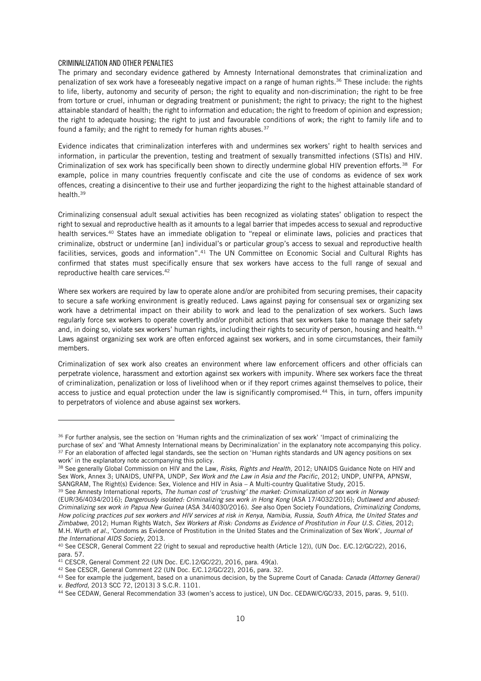### <span id="page-9-0"></span>CRIMINALIZATION AND OTHER PENALTIES

j

The primary and secondary evidence gathered by Amnesty International demonstrates that criminalization and penalization of sex work have a foreseeably negative impact on a range of human rights. <sup>36</sup> These include: the rights to life, liberty, autonomy and security of person; the right to equality and non-discrimination; the right to be free from torture or cruel, inhuman or degrading treatment or punishment; the right to privacy; the right to the highest attainable standard of health; the right to information and education; the right to freedom of opinion and expression; the right to adequate housing; the right to just and favourable conditions of work; the right to family life and to found a family; and the right to remedy for human rights abuses.<sup>37</sup>

Evidence indicates that criminalization interferes with and undermines sex workers' right to health services and information, in particular the prevention, testing and treatment of sexually transmitted infections (STIs) and HIV. Criminalization of sex work has specifically been shown to directly undermine global HIV prevention efforts.<sup>38</sup> For example, police in many countries frequently confiscate and cite the use of condoms as evidence of sex work offences, creating a disincentive to their use and further jeopardizing the right to the highest attainable standard of health.<sup>39</sup>

Criminalizing consensual adult sexual activities has been recognized as violating states' obligation to respect the right to sexual and reproductive health as it amounts to a legal barrier that impedes access to sexual and reproductive health services.<sup>40</sup> States have an immediate obligation to "repeal or eliminate laws, policies and practices that criminalize, obstruct or undermine [an] individual's or particular group's access to sexual and reproductive health facilities, services, goods and information".<sup>41</sup> The UN Committee on Economic Social and Cultural Rights has confirmed that states must specifically ensure that sex workers have access to the full range of sexual and reproductive health care services.<sup>42</sup>

Where sex workers are required by law to operate alone and/or are prohibited from securing premises, their capacity to secure a safe working environment is greatly reduced. Laws against paying for consensual sex or organizing sex work have a detrimental impact on their ability to work and lead to the penalization of sex workers. Such laws regularly force sex workers to operate covertly and/or prohibit actions that sex workers take to manage their safety and, in doing so, violate sex workers' human rights, including their rights to security of person, housing and health.<sup>43</sup> Laws against organizing sex work are often enforced against sex workers, and in some circumstances, their family members.

Criminalization of sex work also creates an environment where law enforcement officers and other officials can perpetrate violence, harassment and extortion against sex workers with impunity. Where sex workers face the threat of criminalization, penalization or loss of livelihood when or if they report crimes against themselves to police, their access to justice and equal protection under the law is significantly compromised.<sup>44</sup> This, in turn, offers impunity to perpetrators of violence and abuse against sex workers.

<sup>36</sup> For further analysis, see the section on 'Human rights and the criminalization of sex work' 'Impact of criminalizing the purchase of sex' and 'What Amnesty International means by Decriminalization' in the explanatory note accompanying this policy.  $37$  For an elaboration of affected legal standards, see the section on 'Human rights standards and UN agency positions on sex work' in the explanatory note accompanying this policy.

<sup>38</sup> See generally Global Commission on HIV and the Law, *Risks, Rights and Health,* 2012; UNAIDS Guidance Note on HIV and Sex Work, Annex 3; UNAIDS, UNFPA, UNDP, *Sex Work and the Law in Asia and the Pacific*, 2012; UNDP, UNFPA, APNSW, SANGRAM, The Right(s) Evidence: Sex, Violence and HIV in Asia – A Multi-country Qualitative Study, 2015.

<sup>39</sup> See Amnesty International reports, *The human cost of 'crushing' the market: Criminalization of sex work in Norway*

<sup>(</sup>EUR/36/4034/2016); *Dangerously isolated: Criminalizing sex work in Hong Kong* (ASA 17/4032/2016); *Outlawed and abused: Criminalizing sex work in Papua New Guinea* (ASA 34/4030/2016). *See* also Open Society Foundations, *Criminalizing Condoms, How policing practices put sex workers and HIV services at risk in Kenya, Namibia, Russia, South Africa, the United States and Zimbabwe*, 2012; Human Rights Watch, *Sex Workers at Risk: Condoms as Evidence of Prostitution in Four U.S. Cities,* 2012; M.H. Wurth *et al*., 'Condoms as Evidence of Prostitution in the United States and the Criminalization of Sex Work', *Journal of the International AIDS Society*, 2013.

<sup>40</sup> See CESCR, General Comment 22 (right to sexual and reproductive health (Article 12)), (UN Doc. E/C.12/GC/22), 2016, para. 57.

<sup>41</sup> CESCR, General Comment 22 (UN Doc. E/C.12/GC/22), 2016, para. 49(a).

<sup>42</sup> See CESCR, General Comment 22 (UN Doc. E/C.12/GC/22), 2016, para. 32.

<sup>43</sup> See for example the judgement, based on a unanimous decision, by the Supreme Court of Canada: *Canada (Attorney General) v. Bedford*, 2013 SCC 72, [2013] 3 S.C.R. 1101.

<sup>44</sup> See CEDAW, General Recommendation 33 (women's access to justice), UN Doc. CEDAW/C/GC/33, 2015, paras. 9, 51(l).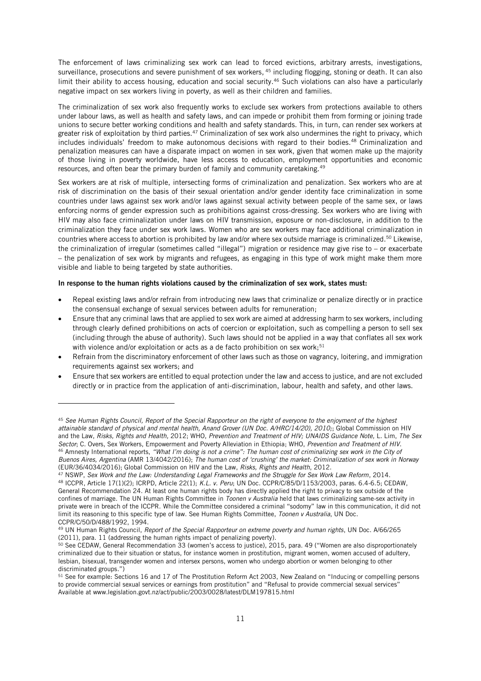The enforcement of laws criminalizing sex work can lead to forced evictions, arbitrary arrests, investigations, surveillance, prosecutions and severe punishment of sex workers, <sup>45</sup> including flogging, stoning or death. It can also limit their ability to access housing, education and social security.<sup>46</sup> Such violations can also have a particularly negative impact on sex workers living in poverty, as well as their children and families.

The criminalization of sex work also frequently works to exclude sex workers from protections available to others under labour laws, as well as health and safety laws, and can impede or prohibit them from forming or joining trade unions to secure better working conditions and health and safety standards. This, in turn, can render sex workers at greater risk of exploitation by third parties.<sup>47</sup> Criminalization of sex work also undermines the right to privacy, which includes individuals' freedom to make autonomous decisions with regard to their bodies.<sup>48</sup> Criminalization and penalization measures can have a disparate impact on women in sex work, given that women make up the majority of those living in poverty worldwide, have less access to education, employment opportunities and economic resources, and often bear the primary burden of family and community caretaking.<sup>49</sup>

Sex workers are at risk of multiple, intersecting forms of criminalization and penalization. Sex workers who are at risk of discrimination on the basis of their sexual orientation and/or gender identity face criminalization in some countries under laws against sex work and/or laws against sexual activity between people of the same sex, or laws enforcing norms of gender expression such as prohibitions against cross-dressing. Sex workers who are living with HIV may also face criminalization under laws on HIV transmission, exposure or non-disclosure, in addition to the criminalization they face under sex work laws. Women who are sex workers may face additional criminalization in countries where access to abortion is prohibited by law and/or where sex outside marriage is criminalized.<sup>50</sup> Likewise, the criminalization of irregular (sometimes called "illegal") migration or residence may give rise to – or exacerbate – the penalization of sex work by migrants and refugees, as engaging in this type of work might make them more visible and liable to being targeted by state authorities.

### In response to the human rights violations caused by the criminalization of sex work, states must:

l

- Repeal existing laws and/or refrain from introducing new laws that criminalize or penalize directly or in practice the consensual exchange of sexual services between adults for remuneration;
- Ensure that any criminal laws that are applied to sex work are aimed at addressing harm to sex workers, including through clearly defined prohibitions on acts of coercion or exploitation, such as compelling a person to sell sex (including through the abuse of authority). Such laws should not be applied in a way that conflates all sex work with violence and/or exploitation or acts as a de facto prohibition on sex work; 51
- Refrain from the discriminatory enforcement of other laws such as those on vagrancy, loitering, and immigration requirements against sex workers; and
- Ensure that sex workers are entitled to equal protection under the law and access to justice, and are not excluded directly or in practice from the application of anti-discrimination, labour, health and safety, and other laws.

<sup>45</sup> *See Human Rights Council, Report of the Special Rapporteur on the right of everyone to the enjoyment of the highest attainable standard of physical and mental health, Anand Grover (UN Doc. A/HRC/14/20), 2010;*; Global Commission on HIV and the Law, *Risks, Rights and Health,* 2012; WHO, *Prevention and Treatment of HIV; UNAIDS Guidance Note,* L. Lim, *The Sex Sector*; C. Overs, Sex Workers, Empowerment and Poverty Alleviation in Ethiopia; WHO, *Prevention and Treatment of HIV*. <sup>46</sup> Amnesty International reports, *"What I'm doing is not a crime": The human cost of criminalizing sex work in the City of Buenos Aires, Argentina* (AMR 13/4042/2016); *The human cost of 'crushing' the market: Criminalization of sex work in Norway* (EUR/36/4034/2016); Global Commission on HIV and the Law, *Risks, Rights and Health*, 2012.

<sup>47</sup> NSWP, *Sex Work and the Law: Understanding Legal Frameworks and the Struggle for Sex Work Law Reform*, 2014. <sup>48</sup> ICCPR, Article 17(1)(2); ICRPD, Article 22(1); *K.L. v. Peru*; UN Doc. CCPR/C/85/D/1153/2003, paras. 6.4-6.5; CEDAW, General Recommendation 24. At least one human rights body has directly applied the right to privacy to sex outside of the confines of marriage. The UN Human Rights Committee in *Toonen v Australia* held that laws criminalizing same-sex activity in private were in breach of the ICCPR. While the Committee considered a criminal "sodomy" law in this communication, it did not limit its reasoning to this specific type of law. See Human Rights Committee, *Toonen v Australia*, UN Doc. CCPR/C/50/D/488/1992, 1994.

<sup>49</sup> UN Human Rights Council, *Report of the Special Rapporteur on extreme poverty and human rights*, UN Doc. A/66/265 (2011), para. 11 (addressing the human rights impact of penalizing poverty).

 $50$  See CEDAW, General Recommendation 33 (women's access to justice), 2015, para. 49 ("Women are also disproportionately criminalized due to their situation or status, for instance women in prostitution, migrant women, women accused of adultery, lesbian, bisexual, transgender women and intersex persons, women who undergo abortion or women belonging to other discriminated groups.")

<sup>51</sup> See for example: Sections 16 and 17 of The Prostitution Reform Act 2003, New Zealand on "Inducing or compelling persons to provide commercial sexual services or earnings from prostitution" and "Refusal to provide commercial sexual services" Available at www.legislation.govt.nz/act/public/2003/0028/latest/DLM197815.html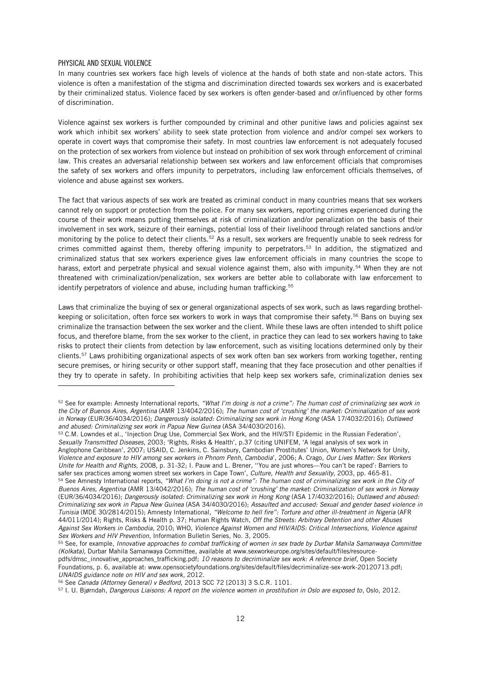#### <span id="page-11-0"></span>PHYSICAL AND SEXUAL VIOLENCE

l

In many countries sex workers face high levels of violence at the hands of both state and non-state actors. This violence is often a manifestation of the stigma and discrimination directed towards sex workers and is exacerbated by their criminalized status. Violence faced by sex workers is often gender-based and or/influenced by other forms of discrimination.

Violence against sex workers is further compounded by criminal and other punitive laws and policies against sex work which inhibit sex workers' ability to seek state protection from violence and and/or compel sex workers to operate in covert ways that compromise their safety. In most countries law enforcement is not adequately focused on the protection of sex workers from violence but instead on prohibition of sex work through enforcement of criminal law. This creates an adversarial relationship between sex workers and law enforcement officials that compromises the safety of sex workers and offers impunity to perpetrators, including law enforcement officials themselves, of violence and abuse against sex workers.

The fact that various aspects of sex work are treated as criminal conduct in many countries means that sex workers cannot rely on support or protection from the police. For many sex workers, reporting crimes experienced during the course of their work means putting themselves at risk of criminalization and/or penalization on the basis of their involvement in sex work, seizure of their earnings, potential loss of their livelihood through related sanctions and/or monitoring by the police to detect their clients.<sup>52</sup> As a result, sex workers are frequently unable to seek redress for crimes committed against them, thereby offering impunity to perpetrators. <sup>53</sup> In addition, the stigmatized and criminalized status that sex workers experience gives law enforcement officials in many countries the scope to harass, extort and perpetrate physical and sexual violence against them, also with impunity.<sup>54</sup> When they are not threatened with criminalization/penalization, sex workers are better able to collaborate with law enforcement to identify perpetrators of violence and abuse, including human trafficking.<sup>55</sup>

Laws that criminalize the buying of sex or general organizational aspects of sex work, such as laws regarding brothelkeeping or solicitation, often force sex workers to work in ways that compromise their safety.<sup>56</sup> Bans on buying sex criminalize the transaction between the sex worker and the client. While these laws are often intended to shift police focus, and therefore blame, from the sex worker to the client, in practice they can lead to sex workers having to take risks to protect their clients from detection by law enforcement, such as visiting locations determined only by their clients.<sup>57</sup> Laws prohibiting organizational aspects of sex work often ban sex workers from working together, renting secure premises, or hiring security or other support staff, meaning that they face prosecution and other penalties if they try to operate in safety. In prohibiting activities that help keep sex workers safe, criminalization denies sex

<sup>52</sup> See for example: Amnesty International reports, *"What I'm doing is not a crime": The human cost of criminalizing sex work in the City of Buenos Aires, Argentina* (AMR 13/4042/2016); *The human cost of 'crushing' the market: Criminalization of sex work in Norway* (EUR/36/4034/2016); *Dangerously isolated: Criminalizing sex work in Hong Kong* (ASA 17/4032/2016); *Outlawed and abused: Criminalizing sex work in Papua New Guinea* (ASA 34/4030/2016).

<sup>53</sup> C.M. Lowndes et al., 'Injection Drug Use, Commercial Sex Work, and the HIV/STI Epidemic in the Russian Federation', *Sexually Transmitted Diseases*, 2003; 'Rights, Risks & Health', p.37 (citing UNIFEM, 'A legal analysis of sex work in Anglophone Caribbean', 2007; USAID, C. Jenkins, C. Sainsbury, Cambodian Prostitutes' Union, Women's Network for Unity, *Violence and exposure to HIV among sex workers in Phnom Penh, Cambodia*', 2006; A. Crago, *Our Lives Matter: Sex Workers Unite for Health and Rights*, 2008, p. 31-32; I. Pauw and L. Brener, ''You are just whores—You can't be raped': Barriers to safer sex practices among women street sex workers in Cape Town', *Culture, Health and Sexuality*, 2003, pp. 465-81. <sup>54</sup> See Amnesty International reports, *"What I'm doing is not a crime": The human cost of criminalizing sex work in the City of Buenos Aires, Argentina* (AMR 13/4042/2016); *The human cost of 'crushing' the market: Criminalization of sex work in Norway* (EUR/36/4034/2016); *Dangerously isolated: Criminalizing sex work in Hong Kong* (ASA 17/4032/2016); *Outlawed and abused: Criminalizing sex work in Papua New Guinea* (ASA 34/4030/2016); *Assaulted and accused: Sexual and gender based violence in Tunisia* (MDE 30/2814/2015); Amnesty International, *"Welcome to hell fire": Torture and other ill-treatment in Nigeria* (AFR 44/011/2014); Rights, Risks & Health p. 37; Human Rights Watch, *Off the Streets: Arbitrary Detention and other Abuses Against Sex Workers in Cambodia*, 2010; WHO, *Violence Against Women and HIV/AIDS: Critical Intersections, Violence against Sex Workers and HIV Prevention*, Information Bulletin Series, No. 3, 2005.

<sup>55</sup> See, for example, *Innovative approaches to combat trafficking of women in sex trade by Durbar Mahila Samanwaya Committee (Kolkata)*, Durbar Mahila Samanwaya Committee, available at www.sexworkeurope.org/sites/default/files/resourcepdfs/dmsc\_innovative\_approaches\_trafficking.pdf; *10 reasons to decriminalize sex work: A reference brief*, Open Society Foundations, p. 6, available at: www.opensocietyfoundations.org/sites/default/files/decriminalize-sex-work-20120713.pdf; *UNAIDS guidance note on HIV and sex work*, 2012.

<sup>56</sup> See *Canada (Attorney General) v Bedford*, 2013 SCC 72 [2013] 3 S.C.R. 1101.

<sup>57</sup> I. U. Bjørndah, *Dangerous Liaisons: A report on the violence women in prostitution in Oslo are exposed to*, Oslo, 2012.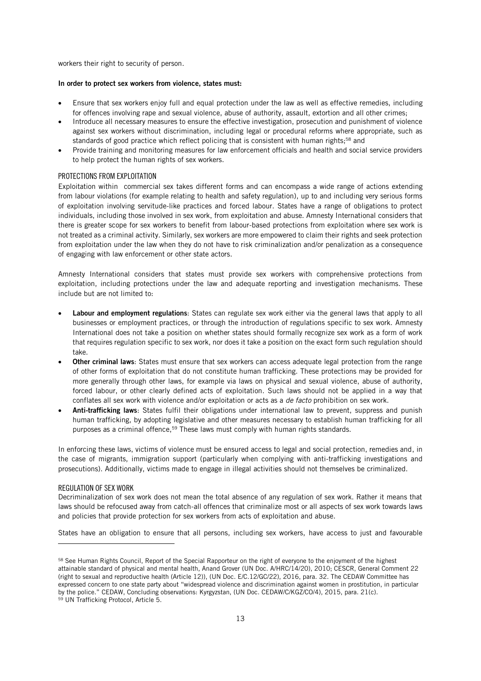workers their right to security of person.

#### In order to protect sex workers from violence, states must:

- Ensure that sex workers enjoy full and equal protection under the law as well as effective remedies, including for offences involving rape and sexual violence, abuse of authority, assault, extortion and all other crimes;
- Introduce all necessary measures to ensure the effective investigation, prosecution and punishment of violence against sex workers without discrimination, including legal or procedural reforms where appropriate, such as standards of good practice which reflect policing that is consistent with human rights;<sup>58</sup> and
- Provide training and monitoring measures for law enforcement officials and health and social service providers to help protect the human rights of sex workers.

#### <span id="page-12-0"></span>PROTECTIONS FROM EXPLOITATION

Exploitation within commercial sex takes different forms and can encompass a wide range of actions extending from labour violations (for example relating to health and safety regulation), up to and including very serious forms of exploitation involving servitude-like practices and forced labour. States have a range of obligations to protect individuals, including those involved in sex work, from exploitation and abuse. Amnesty International considers that there is greater scope for sex workers to benefit from labour-based protections from exploitation where sex work is not treated as a criminal activity. Similarly, sex workers are more empowered to claim their rights and seek protection from exploitation under the law when they do not have to risk criminalization and/or penalization as a consequence of engaging with law enforcement or other state actors.

Amnesty International considers that states must provide sex workers with comprehensive protections from exploitation, including protections under the law and adequate reporting and investigation mechanisms. These include but are not limited to:

- Labour and employment regulations: States can regulate sex work either via the general laws that apply to all businesses or employment practices, or through the introduction of regulations specific to sex work. Amnesty International does not take a position on whether states should formally recognize sex work as a form of work that requires regulation specific to sex work, nor does it take a position on the exact form such regulation should take.
- Other criminal laws: States must ensure that sex workers can access adequate legal protection from the range of other forms of exploitation that do not constitute human trafficking. These protections may be provided for more generally through other laws, for example via laws on physical and sexual violence, abuse of authority, forced labour, or other clearly defined acts of exploitation. Such laws should not be applied in a way that conflates all sex work with violence and/or exploitation or acts as a *de facto* prohibition on sex work.
- Anti-trafficking laws: States fulfil their obligations under international law to prevent, suppress and punish human trafficking, by adopting legislative and other measures necessary to establish human trafficking for all purposes as a criminal offence, <sup>59</sup> These laws must comply with human rights standards.

In enforcing these laws, victims of violence must be ensured access to legal and social protection, remedies and, in the case of migrants, immigration support (particularly when complying with anti-trafficking investigations and prosecutions). Additionally, victims made to engage in illegal activities should not themselves be criminalized.

#### <span id="page-12-1"></span>REGULATION OF SEX WORK

l

Decriminalization of sex work does not mean the total absence of any regulation of sex work. Rather it means that laws should be refocused away from catch-all offences that criminalize most or all aspects of sex work towards laws and policies that provide protection for sex workers from acts of exploitation and abuse.

States have an obligation to ensure that all persons, including sex workers, have access to just and favourable

<sup>&</sup>lt;sup>58</sup> See Human Rights Council, Report of the Special Rapporteur on the right of everyone to the enjoyment of the highest attainable standard of physical and mental health, Anand Grover (UN Doc. A/HRC/14/20), 2010; CESCR, General Comment 22 (right to sexual and reproductive health (Article 12)), (UN Doc. E/C.12/GC/22), 2016, para. 32. The CEDAW Committee has expressed concern to one state party about "widespread violence and discrimination against women in prostitution, in particular by the police." CEDAW, Concluding observations: Kyrgyzstan, (UN Doc. CEDAW/C/KGZ/CO/4), 2015, para. 21(c). <sup>59</sup> UN Trafficking Protocol, Article 5.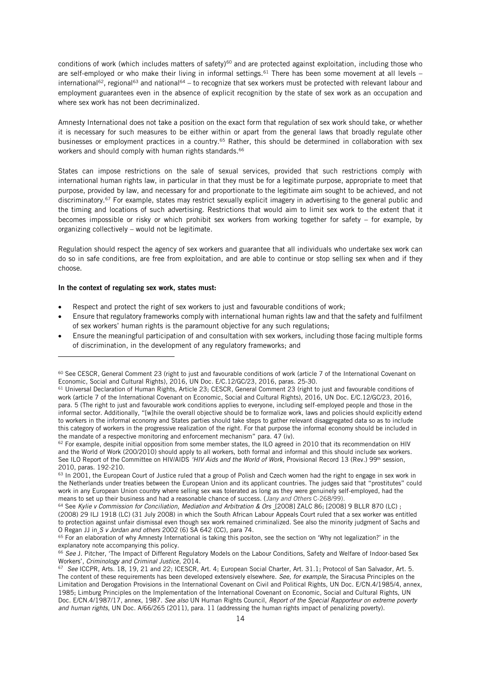conditions of work (which includes matters of safety)<sup>60</sup> and are protected against exploitation, including those who are self-employed or who make their living in informal settings.<sup>61</sup> There has been some movement at all levels international<sup>62</sup>, regional<sup>63</sup> and national<sup>64</sup> – to recognize that sex workers must be protected with relevant labour and employment guarantees even in the absence of explicit recognition by the state of sex work as an occupation and where sex work has not been decriminalized.

Amnesty International does not take a position on the exact form that regulation of sex work should take, or whether it is necessary for such measures to be either within or apart from the general laws that broadly regulate other businesses or employment practices in a country.<sup>65</sup> Rather, this should be determined in collaboration with sex workers and should comply with human rights standards. 66

States can impose restrictions on the sale of sexual services, provided that such restrictions comply with international human rights law, in particular in that they must be for a legitimate purpose, appropriate to meet that purpose, provided by law, and necessary for and proportionate to the legitimate aim sought to be achieved, and not discriminatory.<sup>67</sup> For example, states may restrict sexually explicit imagery in advertising to the general public and the timing and locations of such advertising. Restrictions that would aim to limit sex work to the extent that it becomes impossible or risky or which prohibit sex workers from working together for safety – for example, by organizing collectively – would not be legitimate.

Regulation should respect the agency of sex workers and guarantee that all individuals who undertake sex work can do so in safe conditions, are free from exploitation, and are able to continue or stop selling sex when and if they choose.

### In the context of regulating sex work, states must:

- Respect and protect the right of sex workers to just and favourable conditions of work;
- Ensure that regulatory frameworks comply with international human rights law and that the safety and fulfilment of sex workers' human rights is the paramount objective for any such regulations;
- Ensure the meaningful participation of and consultation with sex workers, including those facing multiple forms of discrimination, in the development of any regulatory frameworks; and

<sup>&</sup>lt;sup>60</sup> See CESCR, General Comment 23 (right to just and favourable conditions of work (article 7 of the International Covenant on Economic, Social and Cultural Rights), 2016, UN Doc. E/C.12/GC/23, 2016, paras. 25-30.

<sup>61</sup> Universal Declaration of Human Rights, Article 23; CESCR, General Comment 23 (right to just and favourable conditions of work (article 7 of the International Covenant on Economic, Social and Cultural Rights), 2016, UN Doc. E/C.12/GC/23, 2016, para. 5 (The right to just and favourable work conditions applies to everyone, including self-employed people and those in the informal sector. Additionally, "[w]hile the overall objective should be to formalize work, laws and policies should explicitly extend to workers in the informal economy and States parties should take steps to gather relevant disaggregated data so as to include this category of workers in the progressive realization of the right. For that purpose the informal economy should be included in the mandate of a respective monitoring and enforcement mechanism" para. 47 (iv).

 $62$  For example, despite initial opposition from some member states, the ILO agreed in 2010 that its recommendation on HIV and the World of Work (200/2010) should apply to all workers, both formal and informal and this should include sex workers. See ILO Report of the Committee on HIV/AIDS 'HIV Aids and the World of Work, Provisional Record 13 (Rev.) 99<sup>th</sup> session, 2010, paras. 192-210.

<sup>63</sup> In 2001, the European Court of Justice ruled that a group of Polish and Czech women had the right to engage in sex work in the Netherlands under treaties between the European Union and its applicant countries. The judges said that "prostitutes" could work in any European Union country where selling sex was tolerated as long as they were genuinely self-employed, had the means to set up their business and had a reasonable chance of success. (*Jany and Others* C-268/99).

<sup>&</sup>lt;sup>64</sup> See *Kylie v Commission for Conciliation, Mediation and Arbitration & Ors [2008] ZALC 86; [2008] 9 BLLR 870 (LC) ;* (2008) 29 ILJ 1918 (LC) (31 July 2008) in which the South African Labour Appeals Court ruled that a sex worker was entitled to protection against unfair dismissal even though sex work remained criminalized. See also the minority judgment of Sachs and O Regan JJ in *S v Jordan and others* 2002 (6) SA 642 (CC), para 74.

<sup>&</sup>lt;sup>65</sup> For an elaboration of why Amnesty International is taking this positon, see the section on 'Why not legalization?' in the explanatory note accompanying this policy.

<sup>66</sup> *See* J. Pitcher, 'The Impact of Different Regulatory Models on the Labour Conditions, Safety and Welfare of Indoor-based Sex Workers', *Criminology and Criminal Justice*, 2014.

<sup>67</sup> *See* ICCPR, Arts. 18, 19, 21 and 22; ICESCR, Art. 4; European Social Charter, Art. 31.1; Protocol of San Salvador, Art. 5. The content of these requirements has been developed extensively elsewhere. *See, for example*, the Siracusa Principles on the Limitation and Derogation Provisions in the International Covenant on Civil and Political Rights, UN Doc. E/CN.4/1985/4, annex, 1985; Limburg Principles on the Implementation of the International Covenant on Economic, Social and Cultural Rights, UN Doc. E/CN.4/1987/17, annex, 1987. *See also* UN Human Rights Council, *Report of the Special Rapporteur on extreme poverty and human rights*, UN Doc. A/66/265 (2011), para. 11 (addressing the human rights impact of penalizing poverty).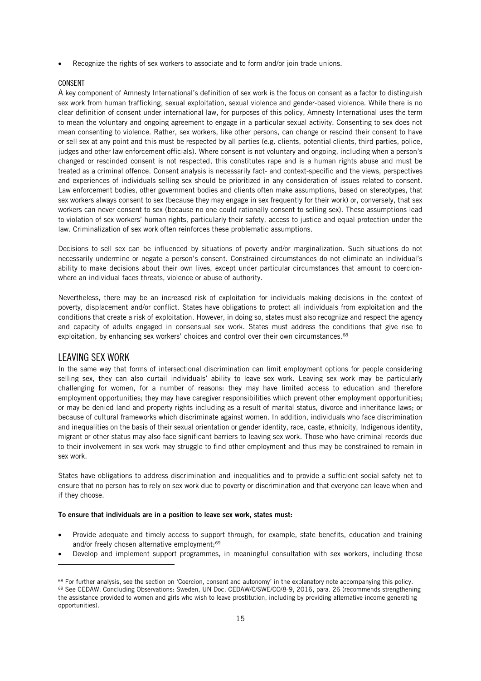Recognize the rights of sex workers to associate and to form and/or join trade unions.

## <span id="page-14-0"></span>CONSENT

A key component of Amnesty International's definition of sex work is the focus on consent as a factor to distinguish sex work from human trafficking, sexual exploitation, sexual violence and gender-based violence. While there is no clear definition of consent under international law, for purposes of this policy, Amnesty International uses the term to mean the voluntary and ongoing agreement to engage in a particular sexual activity. Consenting to sex does not mean consenting to violence. Rather, sex workers, like other persons, can change or rescind their consent to have or sell sex at any point and this must be respected by all parties (e.g. clients, potential clients, third parties, police, judges and other law enforcement officials). Where consent is not voluntary and ongoing, including when a person's changed or rescinded consent is not respected, this constitutes rape and is a human rights abuse and must be treated as a criminal offence. Consent analysis is necessarily fact- and context-specific and the views, perspectives and experiences of individuals selling sex should be prioritized in any consideration of issues related to consent. Law enforcement bodies, other government bodies and clients often make assumptions, based on stereotypes, that sex workers always consent to sex (because they may engage in sex frequently for their work) or, conversely, that sex workers can never consent to sex (because no one could rationally consent to selling sex). These assumptions lead to violation of sex workers' human rights, particularly their safety, access to justice and equal protection under the law. Criminalization of sex work often reinforces these problematic assumptions.

Decisions to sell sex can be influenced by situations of poverty and/or marginalization. Such situations do not necessarily undermine or negate a person's consent. Constrained circumstances do not eliminate an individual's ability to make decisions about their own lives, except under particular circumstances that amount to coercionwhere an individual faces threats, violence or abuse of authority.

Nevertheless, there may be an increased risk of exploitation for individuals making decisions in the context of poverty, displacement and/or conflict. States have obligations to protect all individuals from exploitation and the conditions that create a risk of exploitation. However, in doing so, states must also recognize and respect the agency and capacity of adults engaged in consensual sex work. States must address the conditions that give rise to exploitation, by enhancing sex workers' choices and control over their own circumstances.<sup>68</sup>

# <span id="page-14-1"></span>LEAVING SEX WORK

l

In the same way that forms of intersectional discrimination can limit employment options for people considering selling sex, they can also curtail individuals' ability to leave sex work. Leaving sex work may be particularly challenging for women, for a number of reasons: they may have limited access to education and therefore employment opportunities; they may have caregiver responsibilities which prevent other employment opportunities; or may be denied land and property rights including as a result of marital status, divorce and inheritance laws; or because of cultural frameworks which discriminate against women. In addition, individuals who face discrimination and inequalities on the basis of their sexual orientation or gender identity, race, caste, ethnicity, Indigenous identity, migrant or other status may also face significant barriers to leaving sex work. Those who have criminal records due to their involvement in sex work may struggle to find other employment and thus may be constrained to remain in sex work.

States have obligations to address discrimination and inequalities and to provide a sufficient social safety net to ensure that no person has to rely on sex work due to poverty or discrimination and that everyone can leave when and if they choose.

### To ensure that individuals are in a position to leave sex work, states must:

- Provide adequate and timely access to support through, for example, state benefits, education and training and/or freely chosen alternative employment; 69
- Develop and implement support programmes, in meaningful consultation with sex workers, including those

<sup>&</sup>lt;sup>68</sup> For further analysis, see the section on 'Coercion, consent and autonomy' in the explanatory note accompanying this policy. <sup>69</sup> See CEDAW, Concluding Observations: Sweden, UN Doc. CEDAW/C/SWE/CO/8-9, 2016, para. 26 (recommends strengthening the assistance provided to women and girls who wish to leave prostitution, including by providing alternative income generating opportunities).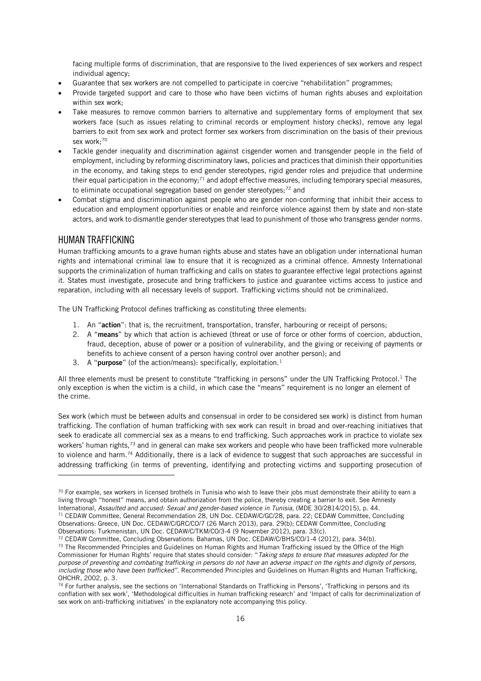facing multiple forms of discrimination, that are responsive to the lived experiences of sex workers and respect individual agency;

- Guarantee that sex workers are not compelled to participate in coercive "rehabilitation" programmes;
- Provide targeted support and care to those who have been victims of human rights abuses and exploitation within sex work;
- Take measures to remove common barriers to alternative and supplementary forms of employment that sex workers face (such as issues relating to criminal records or employment history checks), remove any legal barriers to exit from sex work and protect former sex workers from discrimination on the basis of their previous sex work; 70
- Tackle gender inequality and discrimination against cisgender women and transgender people in the field of employment, including by reforming discriminatory laws, policies and practices that diminish their opportunities in the economy, and taking steps to end gender stereotypes, rigid gender roles and prejudice that undermine their equal participation in the economy; $^{71}$  and adopt effective measures, including temporary special measures, to eliminate occupational segregation based on gender stereotypes;<sup>72</sup> and
- Combat stigma and discrimination against people who are gender non-conforming that inhibit their access to education and employment opportunities or enable and reinforce violence against them by state and non-state actors, and work to dismantle gender stereotypes that lead to punishment of those who transgress gender norms.

# <span id="page-15-0"></span>HUMAN TRAFFICKING

j

Human trafficking amounts to a grave human rights abuse and states have an obligation under international human rights and international criminal law to ensure that it is recognized as a criminal offence. Amnesty International supports the criminalization of human trafficking and calls on states to guarantee effective legal protections against it. States must investigate, prosecute and bring traffickers to justice and guarantee victims access to justice and reparation, including with all necessary levels of support. Trafficking victims should not be criminalized.

The UN Trafficking Protocol defines trafficking as constituting three elements:

- 1. An "action": that is, the recruitment, transportation, transfer, harbouring or receipt of persons;
- 2. A "means" by which that action is achieved (threat or use of force or other forms of coercion, abduction, fraud, deception, abuse of power or a position of vulnerability, and the giving or receiving of payments or benefits to achieve consent of a person having control over another person); and
- 3. A "purpose" (of the action/means): specifically, exploitation.<sup>1</sup>

All three elements must be present to constitute "trafficking in persons" under the UN Trafficking Protocol.<sup>1</sup> The only exception is when the victim is a child, in which case the "means" requirement is no longer an element of the crime.

Sex work (which must be between adults and consensual in order to be considered sex work) is distinct from human trafficking. The conflation of human trafficking with sex work can result in broad and over-reaching initiatives that seek to eradicate all commercial sex as a means to end trafficking. Such approaches work in practice to violate sex workers' human rights,<sup>73</sup> and in general can make sex workers and people who have been trafficked more vulnerable to violence and harm.<sup>74</sup> Additionally, there is a lack of evidence to suggest that such approaches are successful in addressing trafficking (in terms of preventing, identifying and protecting victims and supporting prosecution of

 $70$  For example, sex workers in licensed brothels in Tunisia who wish to leave their jobs must demonstrate their ability to earn a living through "honest" means, and obtain authorization from the police, thereby creating a barrier to exit. See Amnesty International*, Assaulted and accused: Sexual and gender-based violence in Tunisia*, (MDE 30/2814/2015), p. 44.

<sup>71</sup> CEDAW Committee, General Recommendation 28, UN Doc. CEDAW/C/GC/28, para. 22; CEDAW Committee, Concluding Observations: Greece, UN Doc. CEDAW/C/GRC/CO/7 (26 March 2013), para. 29(b); CEDAW Committee, Concluding Observations: Turkmenistan, UN Doc. CEDAW/C/TKM/CO/3-4 (9 November 2012), para. 33(c).

<sup>72</sup> CEDAW Committee, Concluding Observations: Bahamas, UN Doc. CEDAW/C/BHS/CO/1-4 (2012), para. 34(b).

<sup>&</sup>lt;sup>73</sup> The Recommended Principles and Guidelines on Human Rights and Human Trafficking issued by the Office of the High Commissioner for Human Rights' require that states should consider: "*Taking steps to ensure that measures adopted for the purpose of preventing and combating trafficking in persons do not have an adverse impact on the rights and dignity of persons, including those who have been trafficked".* Recommended Principles and Guidelines on Human Rights and Human Trafficking, OHCHR, 2002, p. 3.

 $74$  For further analysis, see the sections on 'International Standards on Trafficking in Persons', 'Trafficking in persons and its conflation with sex work', 'Methodological difficulties in human trafficking research' and 'Impact of calls for decriminalization of sex work on anti-trafficking initiatives' in the explanatory note accompanying this policy.